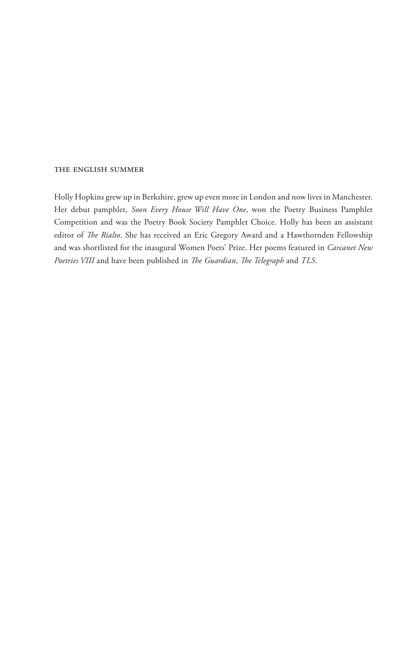#### the english summer

Holly Hopkins grew up in Berkshire, grew up even more in London and now lives in Manchester. Her debut pamphlet, *Soon Every House Will Have One*, won the Poetry Business Pamphlet Competition and was the Poetry Book Society Pamphlet Choice. Holly has been an assistant editor of *The Rialto*. She has received an Eric Gregory Award and a Hawthornden Fellowship and was shortlisted for the inaugural Women Poets' Prize. Her poems featured in *Carcanet New Poetries VIII* and have been published in *The Guardian*, *The Telegraph* and *TLS*.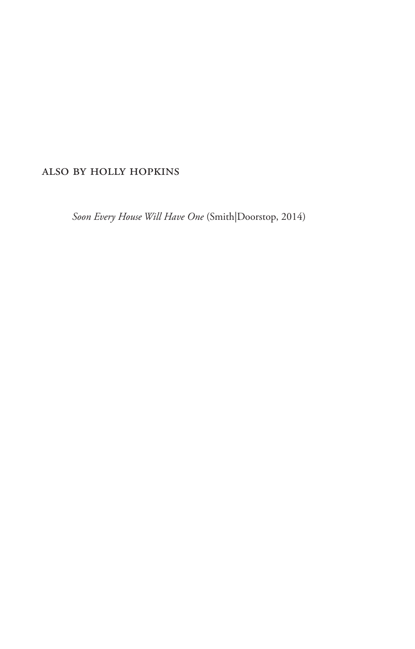## also by holly hopkins

*Soon Every House Will Have One* (Smith|Doorstop, 2014)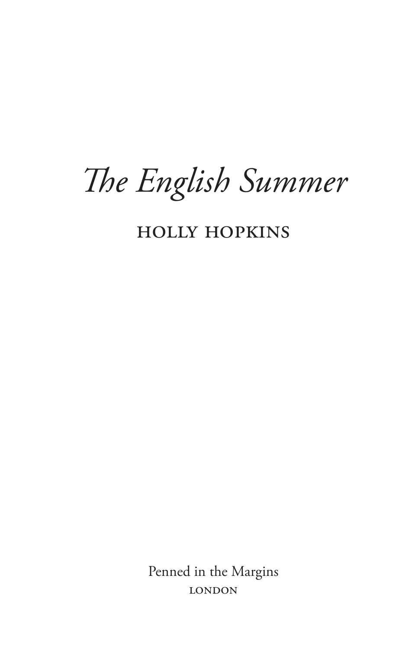# *The English Summer*

holly hopkins

Penned in the Margins **LONDON**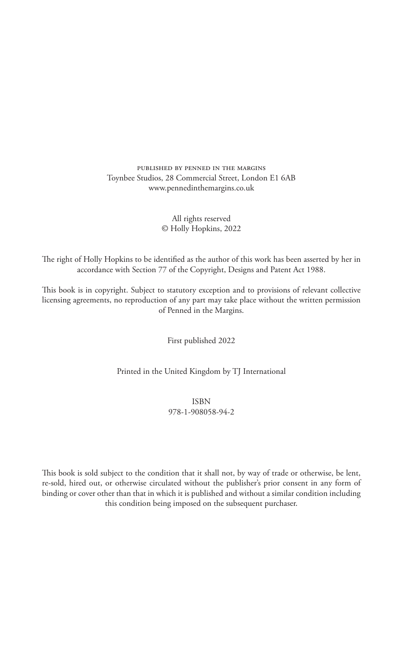published by penned in the margins Toynbee Studios, 28 Commercial Street, London E1 6AB www.pennedinthemargins.co.uk

#### All rights reserved © Holly Hopkins, 2022

The right of Holly Hopkins to be identified as the author of this work has been asserted by her in accordance with Section 77 of the Copyright, Designs and Patent Act 1988.

This book is in copyright. Subject to statutory exception and to provisions of relevant collective licensing agreements, no reproduction of any part may take place without the written permission of Penned in the Margins.

First published 2022

Printed in the United Kingdom by TJ International

ISBN 978-1-908058-94-2

This book is sold subject to the condition that it shall not, by way of trade or otherwise, be lent, re-sold, hired out, or otherwise circulated without the publisher's prior consent in any form of binding or cover other than that in which it is published and without a similar condition including this condition being imposed on the subsequent purchaser.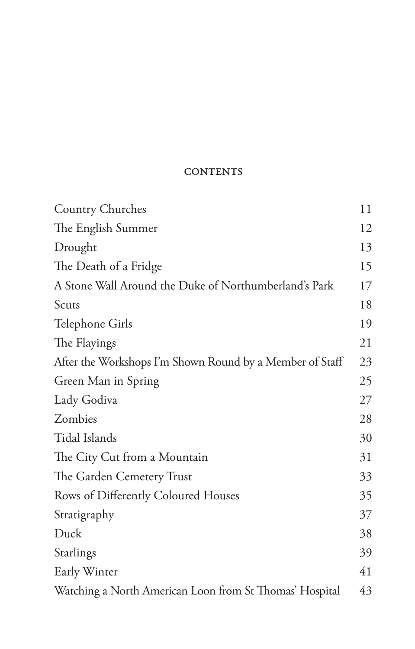## **CONTENTS**

| <b>Country Churches</b>                                  | 11 |
|----------------------------------------------------------|----|
| The English Summer                                       | 12 |
| Drought                                                  | 13 |
| The Death of a Fridge                                    | 15 |
| A Stone Wall Around the Duke of Northumberland's Park    | 17 |
| Scuts                                                    | 18 |
| Telephone Girls                                          | 19 |
| The Flayings                                             | 21 |
| After the Workshops I'm Shown Round by a Member of Staff | 23 |
| Green Man in Spring                                      | 25 |
| Lady Godiva                                              | 27 |
| Zombies                                                  | 28 |
| Tidal Islands                                            | 30 |
| The City Cut from a Mountain                             | 31 |
| The Garden Cemetery Trust                                | 33 |
| Rows of Differently Coloured Houses                      | 35 |
| Stratigraphy                                             | 37 |
| Duck                                                     | 38 |
| Starlings                                                | 39 |
| Early Winter                                             | 41 |
| Watching a North American Loon from St Thomas' Hospital  | 43 |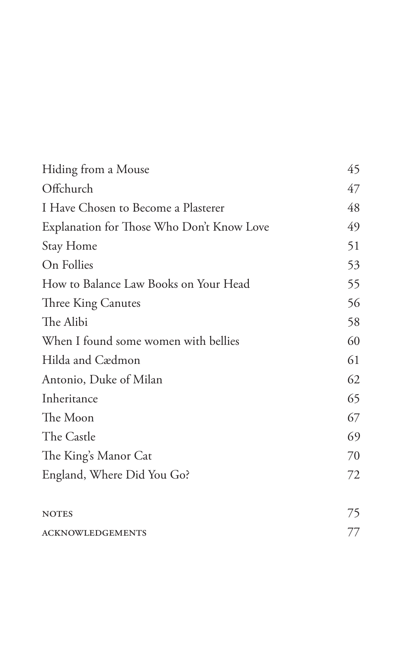| Hiding from a Mouse                       | 45 |
|-------------------------------------------|----|
| Offchurch                                 | 47 |
| I Have Chosen to Become a Plasterer       | 48 |
| Explanation for Those Who Don't Know Love | 49 |
| Stay Home                                 | 51 |
| On Follies                                | 53 |
| How to Balance Law Books on Your Head     | 55 |
| Three King Canutes                        | 56 |
| The Alibi                                 | 58 |
| When I found some women with bellies      | 60 |
| Hilda and Cædmon                          | 61 |
| Antonio, Duke of Milan                    | 62 |
| Inheritance                               | 65 |
| The Moon                                  | 67 |
| The Castle                                | 69 |
| The King's Manor Cat                      | 70 |
| England, Where Did You Go?                | 72 |
| <b>NOTES</b>                              | 75 |
| <b>ACKNOWLEDGEMENTS</b>                   | 77 |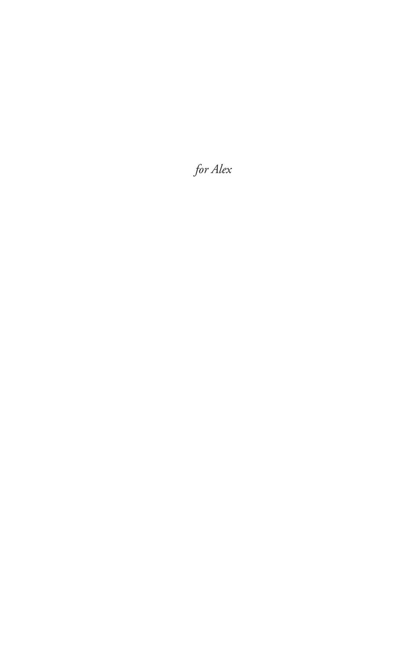for Alex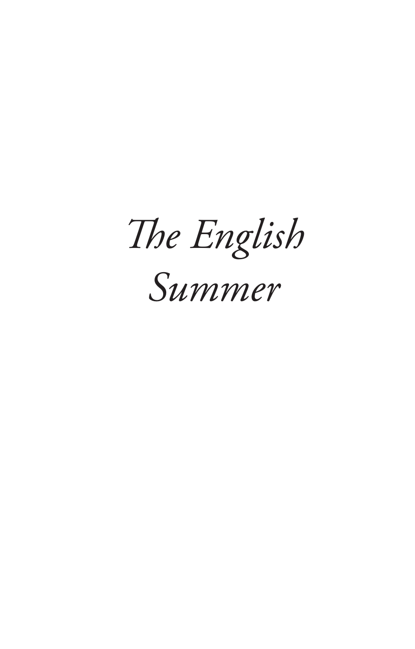*The English Summer*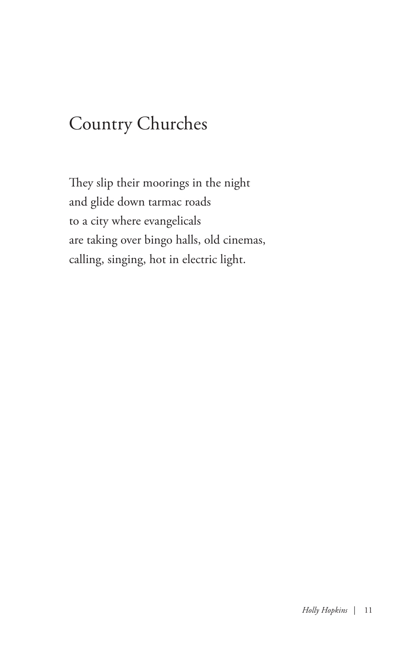## Country Churches

They slip their moorings in the night and glide down tarmac roads to a city where evangelicals are taking over bingo halls, old cinemas, calling, singing, hot in electric light.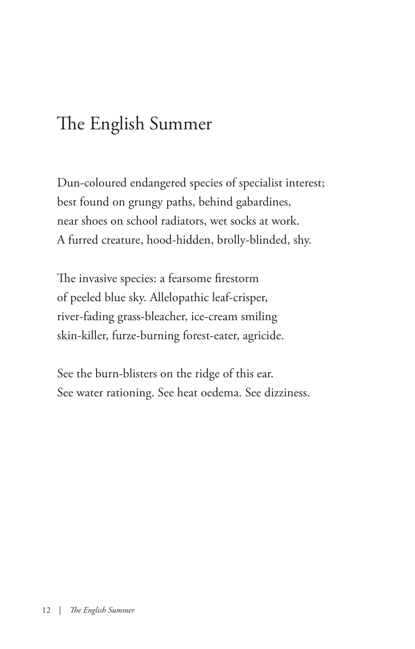# The English Summer

Dun-coloured endangered species of specialist interest; best found on grungy paths, behind gabardines, near shoes on school radiators, wet socks at work. A furred creature, hood-hidden, brolly-blinded, shy.

The invasive species: a fearsome firestorm of peeled blue sky. Allelopathic leaf-crisper, river-fading grass-bleacher, ice-cream smiling skin-killer, furze-burning forest-eater, agricide.

See the burn-blisters on the ridge of this ear. See water rationing. See heat oedema. See dizziness.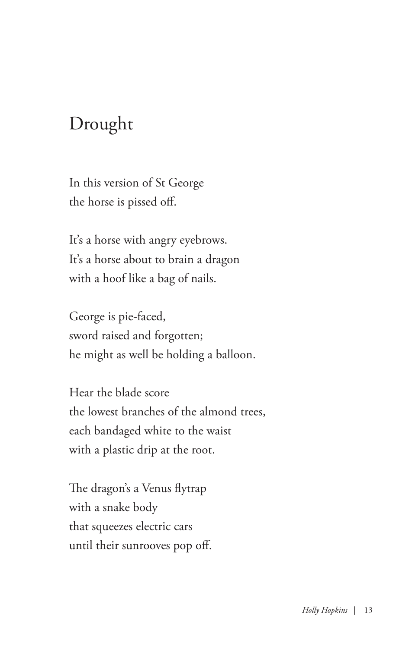## Drought

In this version of St George the horse is pissed off.

It's a horse with angry eyebrows. It's a horse about to brain a dragon with a hoof like a bag of nails.

George is pie-faced, sword raised and forgotten; he might as well be holding a balloon.

Hear the blade score the lowest branches of the almond trees, each bandaged white to the waist with a plastic drip at the root.

The dragon's a Venus flytrap with a snake body that squeezes electric cars until their sunrooves pop off.